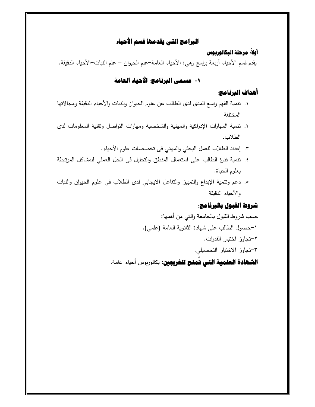#### **البرامج التي يقدمها قسم الأحياء**

#### **: مرحلة البكالوريوس أولا ً**

يقدم قسم الأحياء أربعة برامج وهي: الأحياء العامة–علم الحيوان – علم النبات–الأحياء الدقيقة.

### **-١ مسمى البرنامج: الأحياء العامة**

#### **أهداف البرنامج:**

- ١. تنمية الفهم واسع المدى لدى الطالب عن علوم الحيوان والنبات والأحياء الدقيقة ومجالاتها المختلفة
- ٢. تنمية المهارات الإدراكية والمهنية والشخصية ومهارات التواصل وتقنية المعلومات لدى الطلاب .
	- ٣. إعداد الطلاب للعمل البحثي والمهني فى تخصصات علوم الأحياء.
- ٤. تنمية قدرة الطالب على استعمال المنطق والتحليل فى الحل العملي للمشاكل المرتبطة بعلوم الحياة.
- ٥. دعم وتنمية الإبداع والتمييز والتفاعل الايجابي لدى الطلاب فى علوم الحيوان والنبات والأحياء الدقيقة

### **شروط القبول بالبرنامج:**

حسب شروط القبول بالجامعة والتي من أهمها: ١- حصول الطالب على شهادة الثانوة العامة (علمي). ٢- تجاوز اخت!ار القدرات. ٣-تجاوز الاختبار التحصیلي. **الشهادة العلمية التي تُمنح للخريجين**: بكالوريوس أحياء عامة. **ُ**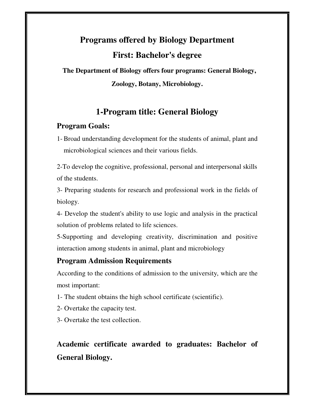# **Programs offered by Biology Department First: Bachelor's degree**

 **The Department of Biology offers four programs: General Biology, Zoology, Botany, Microbiology.** 

## **1-Program title: General Biology**

#### **Program Goals:**

1- Broad understanding development for the students of animal, plant and microbiological sciences and their various fields.

2-To develop the cognitive, professional, personal and interpersonal skills of the students.

3- Preparing students for research and professional work in the fields of biology.

4- Develop the student's ability to use logic and analysis in the practical solution of problems related to life sciences.

5-Supporting and developing creativity, discrimination and positive interaction among students in animal, plant and microbiology

#### **Program Admission Requirements**

According to the conditions of admission to the university, which are the most important:

1- The student obtains the high school certificate (scientific).

- 2- Overtake the capacity test.
- 3- Overtake the test collection.

## **Academic certificate awarded to graduates: Bachelor of General Biology.**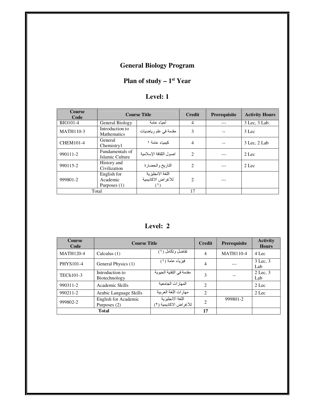## **General Biology Program**

### **Plan of study – 1<sup>st</sup> Year**

| <b>Course</b><br>Code | <b>Course Title</b>                       |                                        | <b>Credit</b>               | <b>Prerequisite</b> | <b>Activity Hours</b> |
|-----------------------|-------------------------------------------|----------------------------------------|-----------------------------|---------------------|-----------------------|
| <b>BIO101-4</b>       | General Biology                           | أحباء عامة                             | 4                           |                     | 3 Lec, 3 Lab.         |
| <b>MATH110-3</b>      | Introduction to<br><b>Mathematics</b>     | مقدمة في علم رياضيات                   | 3                           |                     | $3$ Lec               |
| <b>CHEM101-4</b>      | General<br>Chemistry1                     | كىمىاء عامة ١                          | 4                           |                     | 3 Lec, 2 Lab          |
| 990111-2              | Fundamentals of<br>Islamic Culture        | اصول الثقافة الاسلامبة                 | $\mathcal{D}_{\mathcal{L}}$ |                     | $2$ Lec               |
| 990115-2              | History and<br>Civilization               | التاريخ والحضارة                       | 2                           |                     | $2$ Lec               |
| 999801-2              | English for<br>Academic<br>Purposes $(1)$ | اللغة الانجليزية<br>للأغراض الاكاديمية | $\mathcal{D}_{\mathcal{L}}$ |                     |                       |
| Total                 |                                           |                                        | 17                          |                     |                       |

**Level: 2**

| <b>Course</b><br>Code | <b>Course Title</b>                  |                                            |                             | <b>Prerequisite</b> | <b>Activity</b><br><b>Hours</b> |
|-----------------------|--------------------------------------|--------------------------------------------|-----------------------------|---------------------|---------------------------------|
| <b>MATH120-4</b>      | Calculus $(1)$                       | نفاضل وتكامل (١)                           | 4                           | <b>MATH110-4</b>    | 4 Lec                           |
| <b>PHYS101-4</b>      | General Physics (1)                  | فيزياء عامة (١)                            | 4                           |                     | 3 Lec. 3<br>Lab                 |
| TECh101-3             | Introduction to<br>Biotechnology     | مقدمة في التقنية الحيوية                   | 3                           |                     | $2$ Lec, $3$<br>Lab             |
| 990311-2              | Academic Skills                      | المهار ات الجامعبة                         | $\mathfrak{D}$              |                     | $2$ Lec                         |
| 990211-2              | Arabic Language Skills               | مهار ات اللغة العر ببة                     | $\mathcal{D}_{\mathcal{L}}$ |                     | $2$ Lec                         |
| 999802-2              | English for Academic<br>Purposes (2) | اللغة الانجليزية<br>للأغراض الاكاديمية (٢) | $\mathfrak{D}$              | 999801-2            |                                 |
|                       | <b>Total</b>                         |                                            | 17                          |                     |                                 |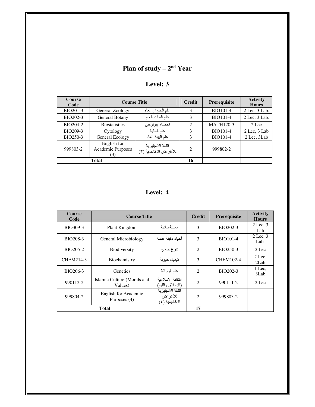#### **Plan of study – 2<sup>nd</sup> Year**

| evel: |
|-------|
|-------|

| <b>Course</b><br>Code | <b>Course Title</b>                     |                                            | <b>Credit</b> | Prerequisite     | <b>Activity</b><br><b>Hours</b> |
|-----------------------|-----------------------------------------|--------------------------------------------|---------------|------------------|---------------------------------|
| BIO201-3              | General Zoology                         | علم الحيوان العام                          | 3             | <b>BIO101-4</b>  | $2$ Lec, $3$ Lab.               |
| BIO202-3              | General Botany                          | علم النبات العام                           | 3             | <b>BIO101-4</b>  | 2 Lec, 3 Lab.                   |
| BIO204-2              | <b>Biostatistics</b>                    | احصاء بيولوجي                              | 2             | <b>MATH120-3</b> | 2 Lec                           |
| BIO209-3              | Cytology                                | علم الخلىة                                 | 3             | <b>BIO101-4</b>  | $2$ Lec, $3$ Lab                |
| <b>BIO250-3</b>       | General Ecology                         | علم الببئة العام                           | 3             | <b>BIO101-4</b>  | 2 Lec, 3 Lab                    |
| 999803-2              | English for<br>Academic Purposes<br>(3) | اللغة الانجليزية<br>للأغراض الاكاديمية (٣) | 2             | 999802-2         |                                 |
|                       | Total                                   |                                            | 16            |                  |                                 |

| <b>Course</b><br>Code | <b>Course Title</b>                    | <b>Credit</b>                                   | Prerequisite   | <b>Activity</b><br><b>Hours</b> |                      |
|-----------------------|----------------------------------------|-------------------------------------------------|----------------|---------------------------------|----------------------|
| BIO309-3              | Plant Kingdom                          | مملكة نباتبة                                    | 3              | BIO202-3                        | $2$ Lec, $3$<br>Lab  |
| <b>BIO208-3</b>       | General Microbiology                   | أحباء دقبقة عامة                                | 3              | <b>BIO101-4</b>                 | $2$ Lec, $3$<br>Lab. |
| BIO205-2              | <b>Biodiversity</b>                    | تنو ع حيو ي                                     | $\overline{c}$ | BIO250-3                        | $2$ Lec              |
| CHEM214-3             | Biochemistry                           | كبمباء حبوبة                                    | 3              | <b>CHEM102-4</b>                | $2$ Lec.<br>2Lab     |
| BIO206-3              | Genetics                               | علم الوراثة                                     | $\mathcal{L}$  | BIO202-3                        | 1 Lec.<br>3Lab       |
| 990112-2              | Islamic Culture (Morals and<br>Values) | الثقافة الاسلامبة<br>(الأخلاق والقيم)           | $\mathfrak{D}$ | 990111-2                        | $2$ Lec              |
| 999804-2              | English for Academic<br>Purposes (4)   | اللغة الانجلبز بة<br>للأغر اض<br>الاكاديمية (٤) | $\mathfrak{D}$ | 999803-2                        |                      |
|                       | <b>Total</b>                           |                                                 | 17             |                                 |                      |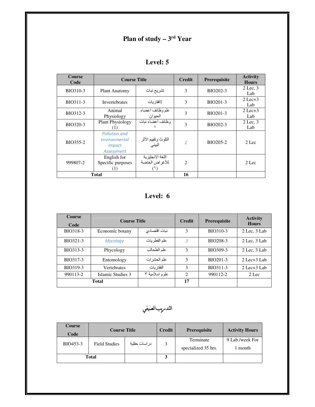#### **Plan of study – 3<sup>rd</sup> Year**

| <b>Course</b><br>Code | <b>Course Title</b>                                           |                                    | <b>Credit</b>  | Prerequisite | <b>Activity</b><br><b>Hours</b> |
|-----------------------|---------------------------------------------------------------|------------------------------------|----------------|--------------|---------------------------------|
| BIO310-3              | <b>Plant Anatomy</b>                                          | تشريح نبات                         | 3              | BIO202-3     | $2$ Lec, $3$<br>Lab             |
| BIO311-3              | <b>Invertebrates</b>                                          | لافقار بات                         | 3              | BIO201-3     | $2$ Lec $+3$<br>Lab             |
| BIO312-3              | Animal<br>Physiology                                          | علم وظائف اعضاء<br>الحيوان         | 3              | BIO201-3     | $2$ Lec+3<br>Lab                |
| BIO320-3              | <b>Plant Physiology</b><br>(1)                                | وظائف أعضاء نبات                   | 3              | BIO202-3     | $2$ Lec. $3$<br>Lab             |
| BIO355-2              | Pollution and<br>environmental<br><i>Impact</i><br>Assessment | التلوث ونقييم الأثر<br>البيئي      | $\overline{2}$ | BIO205-2     | $2$ Lec                         |
| 999807-2              | English for<br>Specific purposes<br>(1)                       | اللغة الانجليزية<br>للأغراض الخاصة | $\overline{c}$ |              | $2$ Lec                         |
|                       | <b>Total</b>                                                  |                                    | 16             |              |                                 |

**Level: 6**

| <b>Course</b><br>Code | <b>Course Title</b> |                | <b>Credit</b>               | <b>Prerequisite</b> | <b>Activity</b><br><b>Hours</b> |
|-----------------------|---------------------|----------------|-----------------------------|---------------------|---------------------------------|
| BIO318-3              | Economic botany     | نبات اقتصادي   | 3                           | BIO310-3            | $2$ Lec, $3$ Lab                |
| BIO321-3              | Mycology            | علم الفطر يات  | 3                           | BIO208-3            | $2$ Lec, $3$ Lab                |
| BIO313-3              | Phycology           | علم الطحالب    | 3                           | BIO309-3            | $2$ Lec, $3$ Lab                |
| BIO317-3              | Entomology          | علم الحشر ات   | 3                           | <b>BIO201-3</b>     | $2$ Lec+ $3$ Lab                |
| BIO319-3              | <b>Vertebrates</b>  | الفقار بات     | 3                           | BIO311-3            | $2$ Lec+ $3$ Lab                |
| 990113-2              | Islamic Studies 3   | علوم اسلامية ٣ | $\mathcal{D}_{\mathcal{A}}$ | 990112-2            | $2$ Lec                         |
| <b>Total</b>          |                     |                | 17                          |                     |                                 |

التدىريبالصيفي

| <b>Course</b><br>Code | <b>Course Title</b>  |               | <b>Credit</b> | <b>Prerequisite</b>              | <b>Activity Hours</b>      |
|-----------------------|----------------------|---------------|---------------|----------------------------------|----------------------------|
| BIO453-3              | <b>Field Studies</b> | در اسات حقلبة | 3             | Terminate<br>specialized 35 hrs. | 9 Lab./week For<br>1 month |
| Total                 |                      |               |               |                                  |                            |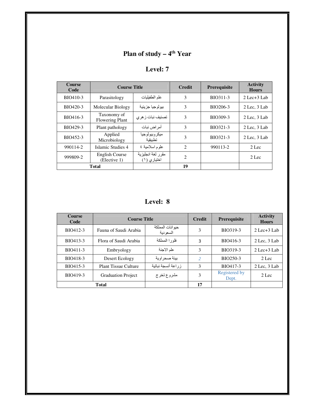## **Plan of study – 4<sup>th</sup> Year**

| <b>Course</b><br>Code | <b>Course Title</b>                   |                                  | <b>Credit</b>  | Prerequisite | <b>Activity</b><br><b>Hours</b> |
|-----------------------|---------------------------------------|----------------------------------|----------------|--------------|---------------------------------|
| BIO410-3              | Parasitology                          | علم الطفيليات                    | 3              | BIO311-3     | $2$ Lec $+3$ Lab                |
| BIO420-3              | Molecular Biology                     | بيو لو جيا جز پئية               | 3              | BIO206-3     | $2$ Lec, $3$ Lab                |
| BIO416-3              | Taxonomy of<br><b>Flowering Plant</b> | تصنیف نبات ز هر ی                | 3              | BIO309-3     | $2$ Lec. $3$ Lab                |
| BIO429-3              | Plant pathology                       | أمر اض نبات                      | 3              | BIO321-3     | $2$ Lec, $3$ Lab                |
| BIO452-3              | Applied<br>Microbiology               | ميكر وبيولوجيا<br>تطبيقية        | 3              | BIO321-3     | $2$ Lec, $3$ Lab                |
| 990114-2              | Islamic Studies 4                     | علوم اسلامية ٤                   | 2              | 990113-2     | 2 Lec                           |
| 999809-2              | English Course<br>(Elective 1)        | مقرر لغة انجليزية<br>اختياري (١) | $\overline{2}$ |              | 2 Lec                           |
|                       | <b>Total</b>                          |                                  | 19             |              |                                 |

**Level: 8**

| <b>Course</b><br>Code | <b>Course Title</b>         |                             | <b>Credit</b> | <b>Prerequisite</b>    | <b>Activity</b><br><b>Hours</b> |
|-----------------------|-----------------------------|-----------------------------|---------------|------------------------|---------------------------------|
| BIO412-3              | Fauna of Saudi Arabia       | حيوانات المملكة<br>السعودية | 3             | BIO319-3               | $2$ Lec $+3$ Lab                |
| BIO413-3              | Flora of Saudi Arabia       | فلورا المملكة               | 3             | BIO416-3               | $2$ Lec, $3$ Lab                |
| BIO411-3              | Embryology                  | علم الاجنة                  | 3             | BIO319-3               | $2$ Lec $+3$ Lab                |
| BIO418-3              | Desert Ecology              | ً بيئة صحر او بـة           | $\mathcal{P}$ | BIO250-3               | 2 Lec                           |
| BIO415-3              | <b>Plant Tissue Culture</b> | زراعة أنسجة نباتية          | 3             | BIO417-3               | $2$ Lec, $3$ Lab                |
| BIO419-3              | <b>Graduation Project</b>   | مشروع تخرج                  | 3             | Registered by<br>Dept. | $2$ Lec                         |
|                       | <b>Total</b>                |                             | 17            |                        |                                 |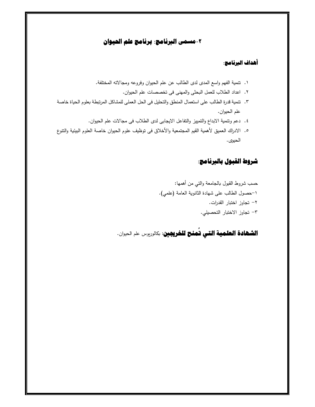#### -**٢مسمى البرنامج: برنامج علم الحيوان**

#### **أهداف البرنامج:**

- ١. تتمية الفهم واسع المدى لدى الطالب عن علم الحيوان وفروعه ومجالاته المختلفة.
	- ٢. اعداد الطلاب للعمل البحثى والمهنى فى تخصصات علم الحیوان.
- ٣. تنمية قدرة الطالب على استعمال المنطق والتحليل فى الحل العملى للمشاكل المرتبطة بعلوم الحياة خاصة علم الحیوان.
	- ٤. دعم وتتمية الابداع والتمييز والتفاعل الايجابى لدى الطلاب فى مجالات علم الحيوان.
- ٥. الادراك العمیق لأهمیة القیم المجتمعیة والأخلاق فى توظیف علوم الحیوان خاصـة العلوم البیئیة والتتوع الحیوی .

#### **شروط القبول بالبرنامج:**

حسب شروط القبول بالجامعة والتبي من أهمها: ١- حصول الطالب على شهادة الثانوة العامة (علمي). ٢– تجاوز اختبار القدرات. ٣- تجاوز الاختبار التحصیلي.

#### **الشهادة العلمية التي تمنح للخريجين**: بكالوريوس علم الحيوان. **ُ**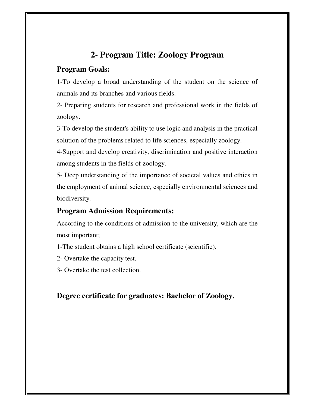### **2- Program Title: Zoology Program**

#### **Program Goals:**

1-To develop a broad understanding of the student on the science of animals and its branches and various fields.

2- Preparing students for research and professional work in the fields of zoology.

3-To develop the student's ability to use logic and analysis in the practical solution of the problems related to life sciences, especially zoology.

4-Support and develop creativity, discrimination and positive interaction among students in the fields of zoology.

5- Deep understanding of the importance of societal values and ethics in the employment of animal science, especially environmental sciences and biodiversity.

#### **Program Admission Requirements:**

According to the conditions of admission to the university, which are the most important;

1-The student obtains a high school certificate (scientific).

- 2- Overtake the capacity test.
- 3- Overtake the test collection.

#### **Degree certificate for graduates: Bachelor of Zoology.**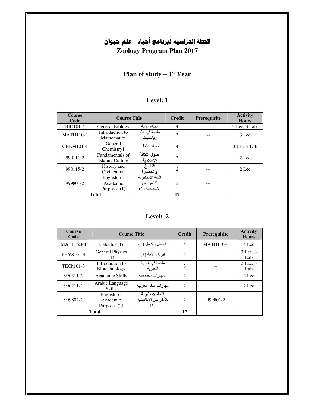# **الخطة الدراسية لبرنامج أحياء – علم حيوان**

**Zoology Program Plan 2017**

#### **Plan of study – 1<sup>st</sup> Year**

| <b>Course</b><br>Code |                                           | <b>Course Title</b>                            |                             | <b>Prerequisite</b> | <b>Activity</b><br><b>Hours</b> |
|-----------------------|-------------------------------------------|------------------------------------------------|-----------------------------|---------------------|---------------------------------|
| <b>BIO101-4</b>       | <b>General Biology</b>                    | أحباء عامة                                     | 4                           |                     | 3 Lec, 3 Lab.                   |
| <b>MATH110-3</b>      | Introduction to<br><b>Mathematics</b>     | مقدمة في علم<br>رياضيات                        | 3                           |                     | $3$ Lec                         |
| <b>CHEM101-4</b>      | General<br>Chemistry1                     | كبمباء عامة ١                                  | 4                           |                     | $3$ Lec, $2$ Lab                |
| 990111-2              | Fundamentals of<br>Islamic Culture        | اصول الثقافة<br>الاسلامية                      | $\mathcal{D}_{\mathcal{L}}$ |                     | $2$ Lec                         |
| 990115-2              | History and<br>Civilization               | التاريخ<br>والحضارة                            | $\mathfrak{D}$              |                     | $2$ Lec                         |
| 999801-2              | English for<br>Academic<br>Purposes $(1)$ | اللغة الانجلبز بة<br>للأغراض<br>الاكادبمبة (١) | $\mathcal{D}_{\mathcal{L}}$ |                     |                                 |
| <b>Total</b>          |                                           |                                                | 17                          |                     |                                 |

**Level: 2**

| <b>Course</b><br>Code | <b>Course Title</b>                     |                                                | <b>Credit</b>               | Prerequisite     | <b>Activity</b><br><b>Hours</b> |
|-----------------------|-----------------------------------------|------------------------------------------------|-----------------------------|------------------|---------------------------------|
| <b>MATH120-4</b>      | Calculus $(1)$                          | تفاضل وتكامل (١)                               | 4                           | <b>MATH110-4</b> | 4 Lec                           |
| <b>PHYS101-4</b>      | <b>General Physics</b><br>(1)           | فيزياء عامة (١)                                | $\overline{4}$              |                  | 3 Lec. 3<br>Lab                 |
| TECh101-3             | Introduction to<br>Biotechnology        | مقدمة في التقنية<br>الحبوبة                    | 3                           |                  | $2$ Lec. $3$<br>Lab             |
| 990311-2              | Academic Skills                         | المهار ات الجامعبة                             | 2                           |                  | $2$ Lec                         |
| 990211-2              | Arabic Language<br><b>Skills</b>        | مهارات اللغة العربية                           | 2                           |                  | $2$ Lec                         |
| 999802-2              | English for<br>Academic<br>Purposes (2) | اللغة الانجليزية<br>للأغر اض الاكاديمية<br>(7) | $\mathcal{D}_{\mathcal{L}}$ | 999801-2         |                                 |
|                       | <b>Total</b>                            |                                                | 17                          |                  |                                 |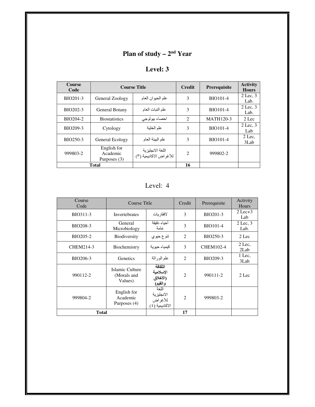#### **Plan of study – 2<sup>nd</sup> Year**

| <b>Course</b><br>Code |                                         | <b>Course Title</b>                        | <b>Credit</b>  | Prerequisite     | <b>Activity</b><br><b>Hours</b> |
|-----------------------|-----------------------------------------|--------------------------------------------|----------------|------------------|---------------------------------|
| BIO201-3              | General Zoology                         | علم الحيوان العام                          | 3              | <b>BIO101-4</b>  | $2$ Lec, $3$<br>Lab.            |
| BIO202-3              | General Botany                          | علم النبات العام                           | 3              | <b>BIO101-4</b>  | $2$ Lec, $3$<br>Lab.            |
| BIO204-2              | <b>Biostatistics</b>                    | احصاء بيولوجي                              | $\overline{2}$ | <b>MATH120-3</b> | $2$ Lec                         |
| BIO209-3              | Cytology                                | علم الخلية                                 | 3              | <b>BIO101-4</b>  | $2$ Lec, $3$<br>Lab             |
| BIO250-3              | General Ecology                         | علم البيئة العام                           | 3              | <b>BIO101-4</b>  | $2$ Lec.<br>3Lab                |
| 999803-2              | English for<br>Academic<br>Purposes (3) | اللغة الانجليزية<br>للأغراض الاكاديمية (٣) | $\overline{c}$ | 999802-2         |                                 |
|                       | <b>Total</b>                            |                                            | 16             |                  |                                 |

Level: 4

| Course<br>Code  | Course Title                                                                                  |                                             | Credit                      | Prerequisite     | Activity<br>Hours    |
|-----------------|-----------------------------------------------------------------------------------------------|---------------------------------------------|-----------------------------|------------------|----------------------|
| BIO311-3        | <b>Invertebrates</b>                                                                          | لافقار يات                                  | 3                           | BIO201-3         | $2$ Lec $+3$<br>Lab  |
| <b>BIO208-3</b> | General<br>Microbiology                                                                       | أحباء دقبقة<br>عامة                         | 3                           | <b>BIO101-4</b>  | $2$ Lec, $3$<br>Lab. |
| BIO205-2        | <b>Biodiversity</b>                                                                           | تنوع حيوي                                   | $\overline{2}$              | <b>BIO250-3</b>  | 2 Lec                |
| CHEM214-3       | Biochemistry                                                                                  | كيمياء حيوية                                | 3                           | <b>CHEM102-4</b> | $2$ Lec,<br>2Lab     |
| BIO206-3        | Genetics                                                                                      | علم الوراثة                                 | $\mathcal{D}_{\mathcal{L}}$ | BIO209-3         | 1 Lec,<br>3Lab       |
| 990112-2        | Islamic Culture<br>(Morals and<br>Values)                                                     | الثقافة<br>الإسلامية<br>(الأخلاق<br>والقيم) | $\mathfrak{D}$              | 990111-2         | 2 Lec                |
| 999804-2        | اللغة<br>English for<br>الانجليزية<br>Academic<br>للأغراض<br>Purposes (4)<br>الأكاديمية ( ٤ ) |                                             | $\overline{c}$              | 999803-2         |                      |
| <b>Total</b>    |                                                                                               |                                             | 17                          |                  |                      |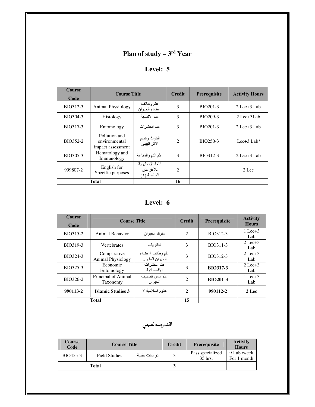## **Plan of study – 3<sup>rd</sup> Year**

| <b>Course</b><br>Code | <b>Course Title</b>                                 |                                           | <b>Credit</b>               | <b>Prerequisite</b> | <b>Activity Hours</b>     |
|-----------------------|-----------------------------------------------------|-------------------------------------------|-----------------------------|---------------------|---------------------------|
| BIO312-3              | <b>Animal Physiology</b>                            | طم وظائف<br>اعضاء الحيوان                 | 3                           | BIO201-3            | $2$ Lec+ $3$ Lab          |
| BIO304-3              | Histology                                           | علم الانسجة                               | 3                           | BIO209-3            | $2$ Lec+ $3$ Lab          |
| BIO317-3              | Entomology                                          | علم الحشر ات                              | 3                           | BIO201-3            | $2$ Lec+ $3$ Lab          |
| BIO352-2              | Pollution and<br>environmental<br>impact assessment | النلوث ونقييم<br>الاثر البيئي             | $\mathcal{D}_{\mathcal{L}}$ | BIO250-3            | Lec $+3$ Lab <sup>1</sup> |
| BIO305-3              | Hematology and<br>Immunology                        | علم الدم والمناعة                         | $\mathcal{E}$               | BIO312-3            | $2$ Lec+ $3$ Lab          |
| 999807-2              | English for<br>Specific purposes                    | اللغة الانجليزية<br>للأغراض<br>الخاصة (١) | $\mathcal{D}_{\mathcal{L}}$ |                     | $2$ Lec                   |
|                       | Total                                               |                                           | 16                          |                     |                           |

**Level: 6**

| <b>Course</b><br>Code | <b>Course Title</b>                     |                                    | <b>Credit</b>  | <b>Prerequisite</b> | <b>Activity</b><br><b>Hours</b> |
|-----------------------|-----------------------------------------|------------------------------------|----------------|---------------------|---------------------------------|
| BIO315-2              | Animal Behavior                         | سلوك الحبو ان                      | $\overline{2}$ | BIO312-3            | $1$ Lec $+3$<br>Lab             |
| BIO319-3              | <b>Vertebrates</b>                      | الفقار بـات                        | 3              | BIO311-3            | $2$ Lec $+3$<br>Lab             |
| BIO324-3              | Comparative<br><b>Animal Physiology</b> | علم وظائف اعضاء<br>الحيوان المقارن | 3              | BIO312-3            | $2$ Lec $+3$<br>Lab             |
| BIO325-3              | Economic<br>Entomology                  | علم الحشرات<br>الاقتصادية          | 3              | <b>BIO317-3</b>     | $2$ Lec $+3$<br>Lab             |
| BIO326-2              | Principal of Animal<br>Taxonomy         | علم اسس تصنيف<br>الحبو ان          | $\overline{2}$ | <b>BIO201-3</b>     | $1$ Lec $+3$<br>Lab             |
| 990113-2              | <b>Islamic Studies 3</b>                | علوم اسلامية ٣                     | $\mathbf{2}$   | 990112-2            | 2 Lec                           |
|                       | <b>Total</b>                            |                                    | 15             |                     |                                 |

التدىريبالصيفي

| <b>Course</b><br>Code | <b>Course Title</b>  |               | <b>Credit</b> | <b>Prerequisite</b>         | <b>Activity</b><br><b>Hours</b> |
|-----------------------|----------------------|---------------|---------------|-----------------------------|---------------------------------|
| BIO455-3              | <b>Field Studies</b> | در اسات حقلبة | $\mathbf{a}$  | Pass specialized<br>35 hrs. | 9 Lab./week<br>For 1 month      |
| <b>Total</b>          |                      |               |               |                             |                                 |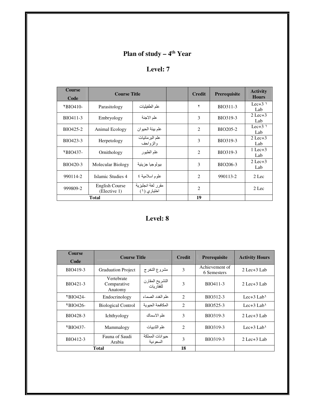#### **Plan of study – 4<sup>th</sup> Year**

### **Level: 7**

| <b>Course</b><br>Code | <b>Course Title</b>            |                                  | <b>Credit</b>  | Prerequisite | <b>Activity</b><br><b>Hours</b> |
|-----------------------|--------------------------------|----------------------------------|----------------|--------------|---------------------------------|
| $YBIO410-$            | Parasitology                   | علم الطفيليات                    | ۲              | BIO311-3     | Lec $+3$ <sup>1</sup><br>Lab    |
| BIO411-3              | Embryology                     | علم الاجنة                       | 3              | BIO319-3     | $2$ Lec $+3$<br>Lab             |
| BIO425-2              | Animal Ecology                 | علم بيئة الحيوان                 | $\overline{2}$ | BIO205-2     | Lec $+3$ )<br>Lab               |
| BIO423-3              | Herpetology                    | علم البر مائيات<br>والزواحف      | 3              | BIO319-3     | $2$ Lec $+3$<br>Lab             |
| $YBIO437-$            | Ornithology                    | علم الطيور                       | $\overline{2}$ | BIO319-3     | $1$ Lec $+3$<br>Lab             |
| BIO420-3              | Molecular Biology              | بيو لو جيا جز پئية               | 3              | BIO206-3     | $2$ Lec $+3$<br>Lab             |
| 990114-2              | Islamic Studies 4              | علوم اسلامية ٤                   | $\overline{2}$ | 990113-2     | $2$ Lec                         |
| 999809-2              | English Course<br>(Elective 1) | مقرر لغة انجليزية<br>اختياري (١) | $\overline{2}$ |              | 2 Lec                           |
|                       | <b>Total</b>                   |                                  | 19             |              |                                 |

| Course<br>Code | <b>Course Title</b>                  |                               | <b>Credit</b>               | <b>Prerequisite</b>           | <b>Activity Hours</b>     |
|----------------|--------------------------------------|-------------------------------|-----------------------------|-------------------------------|---------------------------|
| BIO419-3       | <b>Graduation Project</b>            | مشروع التخرج                  | 3                           | Achievement of<br>6 Semesters | $2$ Lec $+3$ Lab          |
| BIO421-3       | Vertebrate<br>Comparative<br>Anatomy | التشريح المقارن<br>للفقار بات | 3                           | BIO411-3                      | $2$ Lec $+3$ Lab          |
| $YBIO424-$     | Endocrinology                        | علم الغدد الصماء              | 2                           | BIO312-3                      | Lec $+3$ Lab <sup>1</sup> |
| $YBIO426-$     | <b>Biological Control</b>            | المكافحة الحبوبة              | 2                           | BIO525-3                      | Lec $+3$ Lab <sup>1</sup> |
| BIO428-3       | Ichthyology                          | علم الاسماك                   | 3                           | BIO319-3                      | $2$ Lec $+3$ Lab          |
| $YBIO437-$     | Mammalogy                            | علم الثدييات                  | $\mathcal{D}_{\mathcal{L}}$ | BIO319-3                      | Lec $+3$ Lab <sup>1</sup> |
| BIO412-3       | Fauna of Saudi<br>Arabia             | حيوانات المملكة<br>السعو دية  | 3                           | BIO319-3                      | $2$ Lec $+3$ Lab          |
|                | <b>Total</b>                         |                               | 18                          |                               |                           |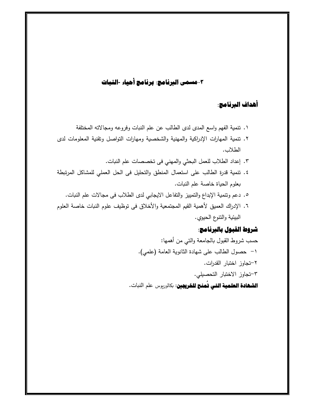### -**٣مسمى البرنامج: برنامج أحياء -النبات**

#### **أهداف البرنامج:**

- ١. تنمية الفهم واسع المدى لدى الطالب عن علم النبات وفروعه ومجالاته المختلفة
- ٢. تنمية المهارات الإدراكية والمهنية والشخصية ومهارات التواصل وتقنية المعلومات لدى الطلاب .
	- ٣. إعداد الطلاب للعمل البحثي والمهني في تخصصات علم النبات.
- ٤. تنمية قدرة الطالب على استعمال المنطق والتحليل فى الحل العملي للمشاكل المرتبطة بعلوم الحياة خاصة علم النبات.
	- ٥. دعم وتنمية الإبداع والتمييز والتفاعل الايجابي لدى الطلاب فى مجالات علم النبات.
- ٦. الإدراك العميق لأهمية القيم المجتمعية والأخلاق فى توظيف علوم النبات خاصة العلوم البيئية والتنوع الحيوي.

#### **شروط القبول بالبرنامج:**

حسب شروط القبول بالجامعة والتي من أهمها: ١- حصول الطالب على شهادة الثانوة العامة (علمي). ٢- تجاوز اخت!ار القدرات. ٣- تجاوز الاخت!ار التحصیلي. **الشهادة العلمية التي تمنح للغريمين**: بكالوريوس علم النبات. **ُ**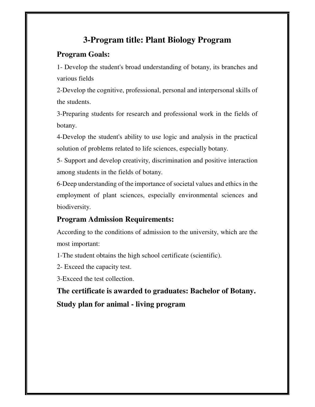## **3-Program title: Plant Biology Program**

#### **Program Goals:**

1- Develop the student's broad understanding of botany, its branches and various fields

2-Develop the cognitive, professional, personal and interpersonal skills of the students.

3-Preparing students for research and professional work in the fields of botany.

4-Develop the student's ability to use logic and analysis in the practical solution of problems related to life sciences, especially botany.

5- Support and develop creativity, discrimination and positive interaction among students in the fields of botany.

6-Deep understanding of the importance of societal values and ethics in the employment of plant sciences, especially environmental sciences and biodiversity.

### **Program Admission Requirements:**

According to the conditions of admission to the university, which are the most important:

1-The student obtains the high school certificate (scientific).

2- Exceed the capacity test.

3-Exceed the test collection.

**The certificate is awarded to graduates: Bachelor of Botany. Study plan for animal - living program**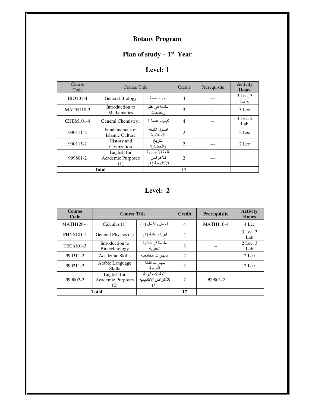### **Botany Program**

#### **Plan of study – 1<sup>st</sup> Year**

| Course<br>Code   | Course Title                            |                                               | Credit                      | Prerequisite | Activity<br>Hours |
|------------------|-----------------------------------------|-----------------------------------------------|-----------------------------|--------------|-------------------|
| <b>BIO101-4</b>  | General Biology                         | أحباء عامة                                    | $\overline{4}$              |              | 3 Lec. 3<br>Lab.  |
| <b>MATH110-3</b> | Introduction to<br><b>Mathematics</b>   | مقدمة في علم<br>رياضيات                       | 3                           |              | 3 Lec             |
| <b>CHEM101-4</b> | General Chemistry1                      | كبمباء عامة ١                                 | $\overline{4}$              |              | 3 Lec. 2<br>Lab   |
| 990111-2         | Fundamentals of<br>Islamic Culture      | اصول الثقافة<br>الاسلامبة                     | $\mathfrak{D}$              |              | 2 Lec             |
| 990115-2         | History and<br>Civilization             | التاريخ<br>والحضارة                           | $\mathcal{D}_{\mathcal{L}}$ |              | 2 Lec             |
| 999801-2         | English for<br>Academic Purposes<br>(1) | اللغة الانجليزية<br>للأغراض<br>الاكادبمبة (١) | $\mathcal{D}_{\mathcal{L}}$ |              |                   |
| <b>Total</b>     |                                         |                                               | 17                          |              |                   |

**Level: 2**

| <b>Course</b><br>Code | <b>Course Title</b>                     |                                         | <b>Credit</b>  | Prerequisite     | <b>Activity</b><br><b>Hours</b> |
|-----------------------|-----------------------------------------|-----------------------------------------|----------------|------------------|---------------------------------|
| <b>MATH120-4</b>      | Calculus $(1)$                          | تفاضل وتكامل (١)                        | $\overline{4}$ | <b>MATH110-4</b> | 4 Lec                           |
| <b>PHYS101-4</b>      | General Physics (1)                     | فيزياء عامة (١)                         | 4              |                  | $3$ Lec, $3$<br>Lab             |
| TECh101-3             | Introduction to<br>Biotechnology        | مقدمة في التقنية<br>الحيوية             | 3              |                  | $2$ Lec, $3$<br>Lab             |
| 990311-2              | Academic Skills                         | المهار ات الجامعبة                      | $\overline{c}$ |                  | 2 Lec                           |
| 990211-2              | Arabic Language<br><b>Skills</b>        | مهار ات اللغة<br>العربية                | $\overline{2}$ |                  | 2 Lec                           |
| 999802-2              | English for<br>Academic Purposes<br>(2) | اللغة الانجليز بة<br>للأغراض الاكاديمية | $\mathfrak{D}$ | 999801-2         |                                 |
| <b>Total</b>          |                                         |                                         | 17             |                  |                                 |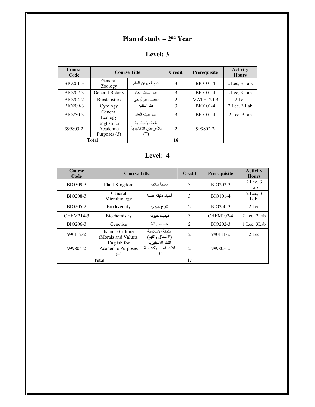#### **Plan of study – 2<sup>nd</sup> Year**

## **Level: 3**

| <b>Course</b><br>Code |                                         | <b>Course Title</b>                    | <b>Credit</b>  | Prerequisite     | <b>Activity</b><br><b>Hours</b> |
|-----------------------|-----------------------------------------|----------------------------------------|----------------|------------------|---------------------------------|
| BIO201-3              | General<br>Zoology                      | علم الحيوان العام                      | 3              | <b>BIO101-4</b>  | $2$ Lec, $3$ Lab.               |
| BIO202-3              | General Botany                          | علم النبات العام                       | 3              | <b>BIO101-4</b>  | $2$ Lec. $3$ Lab.               |
| BIO204-2              | <b>Biostatistics</b>                    | احصاء بيولوجي                          | $\overline{c}$ | <b>MATH120-3</b> | $2$ Lec                         |
| BIO209-3              | Cytology                                | علم الخلبة                             | 3              | <b>BIO101-4</b>  | $2$ Lec, $3$ Lab                |
| BIO250-3              | General<br>Ecology                      | علم البيئة العام                       | 3              | <b>BIO101-4</b>  | 2 Lec. 3 Lab                    |
| 999803-2              | English for<br>Academic<br>Purposes (3) | اللغة الانجليزية<br>للأغراض الاكاديمية | $\mathcal{L}$  | 999802-2         |                                 |
|                       | Total                                   |                                        | 16             |                  |                                 |

| <b>Course</b><br>Code | <b>Course Title</b>                     |                                                     | <b>Credit</b>               | Prerequisite     | <b>Activity</b><br><b>Hours</b> |
|-----------------------|-----------------------------------------|-----------------------------------------------------|-----------------------------|------------------|---------------------------------|
| BIO309-3              | Plant Kingdom                           | مملكة نناتنة                                        | 3                           | BIO202-3         | $2$ Lec, $3$<br>Lab             |
| <b>BIO208-3</b>       | General<br>Microbiology                 | أحداء دقنقة عامة                                    | 3                           | <b>BIO101-4</b>  | $2$ Lec, $3$<br>Lab.            |
| BIO205-2              | <b>Biodiversity</b>                     | تنوع حيوي                                           | $\overline{c}$              | BIO250-3         | 2 Lec                           |
| CHEM214-3             | Biochemistry                            | كبمباء حبوبة                                        | 3                           | <b>CHEM102-4</b> | 2 Lec, 2Lab                     |
| BIO206-3              | Genetics                                | علم الوراثة                                         | $\overline{2}$              | BIO202-3         | 1 Lec, 3Lab                     |
| 990112-2              | Islamic Culture<br>(Morals and Values)  | الثقافة الإسلامية<br>(الأخلاق والقيم)               | $\mathfrak{D}$              | 990111-2         | 2 Lec                           |
| 999804-2              | English for<br>Academic Purposes<br>(4) | اللغة الانجليز بة<br>للأغر اض الاكاديمية<br>$(\xi)$ | $\mathcal{D}_{\mathcal{L}}$ | 999803-2         |                                 |
|                       | Total                                   |                                                     | 17                          |                  |                                 |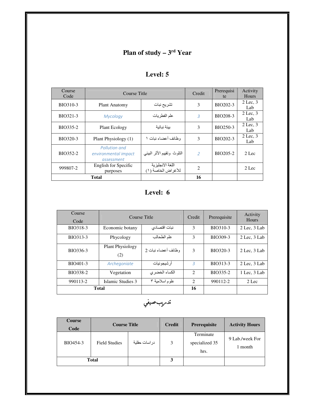# **Plan of study – 3<sup>rd</sup> Year**

| Course<br>Code | Course Title                                        | Credit                                 | Prerequisi<br>te            | Activity<br>Hours |                     |
|----------------|-----------------------------------------------------|----------------------------------------|-----------------------------|-------------------|---------------------|
| BIO310-3       | <b>Plant Anatomy</b>                                | تشريح نبات                             | 3                           | BIO202-3          | $2$ Lec, $3$<br>Lab |
| BIO321-3       | Mycology                                            | علم الفطر يات                          | 3                           | BIO208-3          | $2$ Lec, $3$<br>Lab |
| BIO335-2       | Plant Ecology                                       | بيئة نباتية                            | 3                           | BIO250-3          | $2$ Lec. $3$<br>Lab |
| BIO320-3       | Plant Physiology (1)                                | وظائف أعضاء نبات ١                     | $\mathcal{F}$               | BIO202-3          | $2$ Lec, $3$<br>Lab |
| BIO352-2       | Pollution and<br>environmental impact<br>assessment | التلوث ونقييم الأثر البيئي             | $\mathcal{P}$               | BIO205-2          | $2$ Lec             |
| 999807-2       | English for Specific<br>purposes                    | اللغة الآنجليزية<br>للأغراض الخاصة (١) | $\mathcal{D}_{\mathcal{L}}$ |                   | 2 Lec               |
|                | <b>Total</b>                                        |                                        | 16                          |                   |                     |

#### **Level: 5**

| Course<br>Code | Course Title                   | Credit             | Prerequisite                | Activity<br>Hours |              |
|----------------|--------------------------------|--------------------|-----------------------------|-------------------|--------------|
| BIO318-3       | Economic botany                | نبات اقتصادي       | 3                           | BIO310-3          | 2 Lec, 3 Lab |
| BIO313-3       | Phycology                      | علم الطحالب        | 3                           | BIO309-3          | 2 Lec, 3 Lab |
| BIO336-3       | <b>Plant Physiology</b><br>(2) | وظائف أعضاء نبات 2 | 3                           | BIO320-3          | 2 Lec. 3 Lab |
| BIO401-3       | Archegoniate                   | ار شيجو نيات       | $\overline{3}$              | BIO313-3          | 2 Lec, 3 Lab |
| BIO338-2       | Vegetation                     | الكساء الخضري      | $\mathcal{D}_{\mathcal{L}}$ | BIO335-2          | 1 Lec, 3 Lab |
| 990113-2       | Islamic Studies 3              | علوم اسلامية ٣     | 2                           | 990112-2          | 2 Lec        |
| <b>Total</b>   |                                |                    | 16                          |                   |              |

تدىريبصيفي

| <b>Course</b><br>Code | <b>Course Title</b>  |               | <b>Credit</b> | <b>Prerequisite</b>                 | <b>Activity Hours</b>      |
|-----------------------|----------------------|---------------|---------------|-------------------------------------|----------------------------|
| BIO454-3              | <b>Field Studies</b> | در اسات حقلية | 3             | Terminate<br>specialized 35<br>hrs. | 9 Lab./week For<br>1 month |
| <b>Total</b>          |                      |               | 3             |                                     |                            |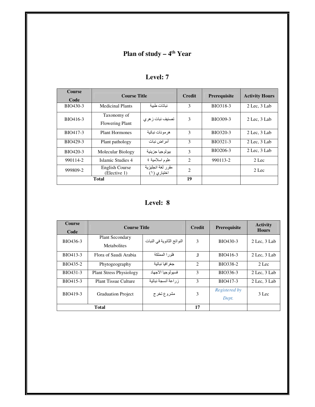#### **Plan of study – 4<sup>th</sup> Year**

| <b>Course</b><br>Code | <b>Course Title</b>                   |                                   | <b>Credit</b>  | <b>Prerequisite</b> | <b>Activity Hours</b> |
|-----------------------|---------------------------------------|-----------------------------------|----------------|---------------------|-----------------------|
| BIO430-3              | Medicinal Plants                      | نباتات طببة                       | 3              | BIO318-3            | $2$ Lec, $3$ Lab      |
| BIO416-3              | Taxonomy of<br><b>Flowering Plant</b> | تصنيف نبات ز هر ي                 | 3              | BIO309-3            | $2$ Lec. $3$ Lab      |
| BIO417-3              | <b>Plant Hormones</b>                 | هرمونات نباتية                    | 3              | BIO320-3            | $2$ Lec, $3$ Lab      |
| BIO429-3              | Plant pathology                       | أمر اض نبات                       | $\mathcal{F}$  | BIO321-3            | 2 Lec, 3 Lab          |
| BIO420-3              | Molecular Biology                     | بيولوجيا جزيئية                   | 3              | BIO206-3            | $2$ Lec. $3$ Lab      |
| 990114-2              | Islamic Studies 4                     | علوم اسلامية ٤                    | $\overline{2}$ | 990113-2            | $2$ Lec               |
| 999809-2              | English Course<br>(Elective 1)        | مقرر لغة انجلبزبة<br>اختيار ي (۱) | $\overline{c}$ |                     | $2$ Lec               |
| Total                 |                                       |                                   | 19             |                     |                       |

**Level: 8**

| <b>Course</b><br>Code | <b>Course Title</b>                   |                            | <b>Credit</b>  | <b>Prerequisite</b>    | <b>Activity</b><br><b>Hours</b> |
|-----------------------|---------------------------------------|----------------------------|----------------|------------------------|---------------------------------|
| BIO436-3              | <b>Plant Secondary</b><br>Metabolites | النواتج الثانوية في النبات | $\mathcal{F}$  | BIO430-3               | 2 Lec. 3 Lab                    |
| BIO413-3              | Flora of Saudi Arabia                 | فلور ا المملكة             | 3              | BIO416-3               | 2 Lec. 3 Lab                    |
| BIO435-2              | Phytogeography                        | جغر افيا نباتية            | $\mathfrak{D}$ | BIO338-2               | $2$ Lec                         |
| BIO431-3              | <b>Plant Stress Physiology</b>        | فسبو لو جبا الاجهاد        | 3              | BIO336-3               | $2$ Lec, $3$ Lab                |
| BIO415-3              | <b>Plant Tissue Culture</b>           | ز ر اعة أنسجة نباتية       | 3              | BIO417-3               | 2 Lec. 3 Lab                    |
| BIO419-3              | <b>Graduation Project</b>             | مشروع تخرج                 | 3              | Registered by<br>Dept. | $3$ Lec                         |
|                       | <b>Total</b>                          |                            | 17             |                        |                                 |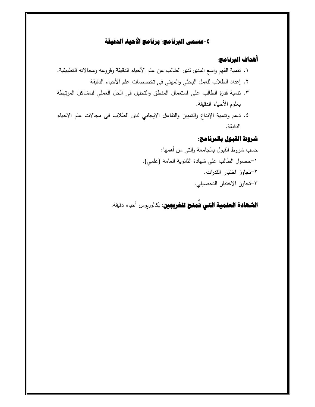## **-٤مسمى البرنامج: برنامج الأحياء الدقيقة**

### **أهداف البرنامج:**

- ١. تنمية الفهم واسع المدى لدى الطالب عن علم الأحياء الدقيقة وفروعه ومجالاته التطبيقية. ٢. إعداد الطلاب للعمل البحثي والمهني فى تخصصات علم الأحياء الدقيقة ٣. تنمية قدرة الطالب على استعمال المنطق والتحليل فى الحل العملي للمشاكل المرتبطة بعلوم الأحياء الدقيقة.
- ٤. دعم وتنمية الإبداع والتمييز والتفاعل الايجابي لدى الطلاب فى مجالات علم الاحياء الدقيقة.

### **شروط القبول بالبرنامج:**

حسب شروB القبول !الجامعة والتي من أهمها: ١- حصول الطالب على شهادة الثانوة العامة (علمي). ٢- تجاوز اخت!ار القدرات. ٣- تجاوز الاخت!ار التحصیلي.

**الشهادة العلمية التي تُمنح للخريجين**: بكالوريوس أحياء دقيقة. **ُ**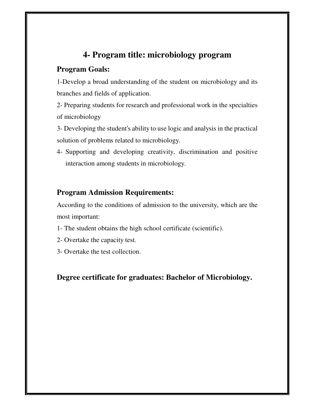### **4- Program title: microbiology program**

#### **Program Goals:**

1-Develop a broad understanding of the student on microbiology and its branches and fields of application.

2- Preparing students for research and professional work in the specialties of microbiology

3- Developing the student's ability to use logic and analysis in the practical solution of problems related to microbiology.

4- Supporting and developing creativity, discrimination and positive interaction among students in microbiology.

#### **Program Admission Requirements:**

According to the conditions of admission to the university, which are the most important:

- 1- The student obtains the high school certificate (scientific).
- 2- Overtake the capacity test.
- 3- Overtake the test collection.

#### **Degree certificate for graduates: Bachelor of Microbiology.**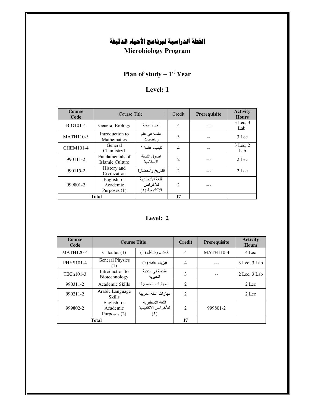## **الخطة الدراسية لبرنامج الأحياء الدقيقة**

**Microbiology Program**

### **Plan of study – 1<sup>st</sup> Year**

#### **Level: 1**

| <b>Course</b><br>Code | Course Title                              |                                               | Credit                      | Prerequisite | <b>Activity</b><br><b>Hours</b> |
|-----------------------|-------------------------------------------|-----------------------------------------------|-----------------------------|--------------|---------------------------------|
| <b>BIO101-4</b>       | General Biology                           | أحباء عامة                                    | 4                           |              | 3 Lec. 3<br>Lab.                |
| <b>MATH110-3</b>      | Introduction to<br>Mathematics            | مقدمة في علم<br>رياضيات                       | 3                           |              | $3$ Lec                         |
| <b>CHEM101-4</b>      | General<br>Chemistry1                     | كبمباء عامة ١                                 | $\overline{4}$              |              | 3 Lec. 2<br>Lab                 |
| 990111-2              | Fundamentals of<br>Islamic Culture        | اصول الثقافة<br>الاسلامبة                     | $\mathfrak{D}$              |              | 2 Lec                           |
| 990115-2              | History and<br>Civilization               | التاريخ والحضارة                              | $\mathfrak{D}$              |              | 2 Lec                           |
| 999801-2              | English for<br>Academic<br>Purposes $(1)$ | اللغة الأنجليزية<br>للأغراض<br>الاكاديمية (١) | $\mathcal{D}_{\mathcal{A}}$ |              |                                 |
|                       | <b>Total</b>                              |                                               | 17                          |              |                                 |

| <b>Course</b><br>Code | <b>Course Title</b>                     |                                         | <b>Credit</b>  | Prerequisite     | <b>Activity</b><br><b>Hours</b> |
|-----------------------|-----------------------------------------|-----------------------------------------|----------------|------------------|---------------------------------|
| <b>MATH120-4</b>      | Calculus $(1)$                          | تفاضل وتكامل (١)                        | $\overline{4}$ | <b>MATH110-4</b> | 4 Lec                           |
| <b>PHYS101-4</b>      | <b>General Physics</b><br>(1)           | فيزياء عامة (١)                         | $\overline{4}$ |                  | 3 Lec, 3 Lab                    |
| TECh101-3             | Introduction to<br>Biotechnology        | مقدمة في التقنية<br>الحبوبة             | 3              |                  | $2$ Lec, $3$ Lab                |
| 990311-2              | Academic Skills                         | المهار ات الجامعبة                      | 2              |                  | 2 Lec                           |
| 990211-2              | Arabic Language<br><b>Skills</b>        | مهارات اللغة العربية                    | $\overline{2}$ |                  | 2 Lec                           |
| 999802-2              | English for<br>Academic<br>Purposes (2) | اللغة الانجليزية<br>للأغر اض الاكاديمية | $\mathfrak{D}$ | 999801-2         |                                 |
|                       | <b>Total</b>                            |                                         | 17             |                  |                                 |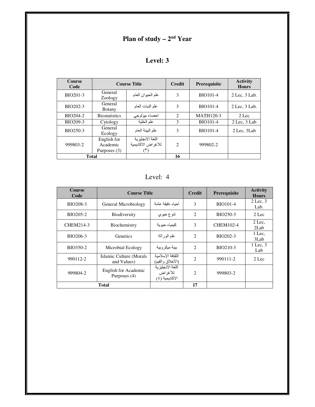# **Plan of study – 2<sup>nd</sup> Year**

| <b>Course</b><br>Code |                                           | <b>Course Title</b>                                | <b>Credit</b>  | Prerequisite     | <b>Activity</b><br><b>Hours</b> |
|-----------------------|-------------------------------------------|----------------------------------------------------|----------------|------------------|---------------------------------|
| BIO201-3              | General<br>Zoology                        | علم الحيوان العام                                  | 3              | <b>BIO101-4</b>  | $2$ Lec, $3$ Lab.               |
| BIO202-3              | General<br><b>B</b> otany                 | علم النبات العام                                   | 3              | <b>BIO101-4</b>  | $2$ Lec, $3$ Lab.               |
| BIO204-2              | <b>Biostatistics</b>                      | احصاء بيولوجي                                      | $\overline{2}$ | <b>MATH120-3</b> | $2$ Lec                         |
| BIO209-3              | Cytology                                  | علم الخلية                                         | 3              | <b>BIO101-4</b>  | $2$ Lec, $3$ Lab                |
| BIO250-3              | General<br>Ecology                        | علم البيئة العام                                   | 3              | <b>BIO101-4</b>  | 2 Lec. 3 Lab                    |
| 999803-2              | English for<br>Academic<br>Purposes $(3)$ | اللغة الانجليزية<br>للأغراض الاكاديمية<br>$(\top)$ | $\mathfrak{D}$ | 999802-2         |                                 |
| <b>Total</b>          |                                           |                                                    | 16             |                  |                                 |

Level: 4

| <b>Course</b><br>Code | <b>Course Title</b>                    |                                                  | <b>Credit</b>               | Prerequisite     | <b>Activity</b><br><b>Hours</b> |
|-----------------------|----------------------------------------|--------------------------------------------------|-----------------------------|------------------|---------------------------------|
| BIO208-3              | General Microbiology                   | أحباء دقبقة عامة                                 | 3                           | <b>BIO101-4</b>  | $2$ Lec. $3$<br>Lab.            |
| BIO205-2              | <b>Biodiversity</b>                    | تنو ع حيو ي                                      | 2                           | BIO250-3         | $2$ Lec                         |
| CHEM214-3             | Biochemistry                           | كيمياء حيو ية                                    | 3                           | <b>CHEM102-4</b> | $2$ Lec.<br>2Lab                |
| BIO206-3              | Genetics                               | علم الور اثـة                                    | 2                           | BIO202-3         | 1 Lec.<br>3Lab                  |
| BIO350-2              | Microbial Ecology                      | ببئة مبكر وببة                                   | $\overline{c}$              | BIO210-3         | 1 Lec. 3<br>Lab                 |
| 990112-2              | Islamic Culture (Morals<br>and Values) | الثقافة الاسلامبة<br>(الأخلاق والقيم)            | $\mathcal{D}_{\mathcal{L}}$ | 990111-2         | 2 Lec                           |
| 999804-2              | English for Academic<br>Purposes (4)   | اللغة الانجليز ية<br>للأغراض<br>الأكاديمية ( ٤ ) | $\mathcal{D}_{\mathcal{L}}$ | 999803-2         |                                 |
|                       | <b>Total</b>                           |                                                  | 17                          |                  |                                 |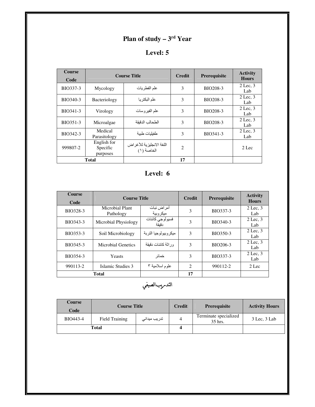## **Plan of study – 3<sup>rd</sup> Year**

### **Level: 5**

| <b>Course</b><br>Code | <b>Course Title</b>                 |                                        | <b>Credit</b>  | Prerequisite    | <b>Activity</b><br><b>Hours</b> |
|-----------------------|-------------------------------------|----------------------------------------|----------------|-----------------|---------------------------------|
| BIO337-3              | Mycology                            | علم الفطريات                           | 3              | BIO208-3        | $2$ Lec. $3$<br>Lab             |
| BIO340-3              | Bacteriology                        | علم البكتر يا                          | 3              | <b>BIO208-3</b> | $2$ Lec, $3$<br>Lab             |
| BIO341-3              | Virology                            | علم الفير و سات                        | 3              | BIO208-3        | $2$ Lec. $3$<br>Lab             |
| BIO351-3              | Microalgae                          | الطحالب الدقنقة                        | 3              | BIO208-3        | $2$ Lec, $3$<br>Lab             |
| BIO342-3              | Medical<br>Parasitology             | طفيليات طبية                           | 3              | BIO341-3        | $2$ Lec. $3$<br>Lab             |
| 999807-2              | English for<br>Specific<br>purposes | اللغة الانجليزية للأغراض<br>الخاصة (١) | $\overline{2}$ |                 | 2 Lec                           |
|                       | Total                               |                                        | 17             |                 |                                 |

| <b>Course</b><br>Code | <b>Course Title</b>          | <b>Credit</b>            | Prerequisite                  | <b>Activity</b><br><b>Hours</b> |                     |
|-----------------------|------------------------------|--------------------------|-------------------------------|---------------------------------|---------------------|
| BIO328-3              | Microbial Plant<br>Pathology | أمر اض نبات<br>ميكر وبية | 3                             | BIO337-3                        | $2$ Lec, $3$<br>Lab |
| BIO343-3              | Microbial Physiology         | فسيولوجي كائنات<br>دقنقة | 3                             | BIO340-3                        | $2$ Lec, $3$<br>Lab |
| BIO353-3              | Soil Microbiology            | مبكر وببولوجبا التربة    | 3                             | BIO350-3                        | $2$ Lec, $3$<br>Lab |
| BIO345-3              | Microbial Genetics           | ور اثَّة كائنات دقبقة    | 3                             | BIO206-3                        | $2$ Lec, $3$<br>Lab |
| BIO354-3              | Yeasts                       | خمائر                    | 3                             | BIO337-3                        | $2$ Lec, $3$<br>Lab |
| 990113-2              | Islamic Studies 3            | علوم اسلامية ٣           | $\mathfrak{D}_{\mathfrak{p}}$ | 990112-2                        | $2$ Lec             |
|                       | <b>Total</b>                 |                          | 17                            |                                 |                     |

التدىريبالصيفي

| Course<br>Code | <b>Course Title</b> |                      | <b>Credit</b> | <b>Prerequisite</b>              | <b>Activity Hours</b> |
|----------------|---------------------|----------------------|---------------|----------------------------------|-----------------------|
| BIO443-4       | Field Training      | تدریب میدان <i>ی</i> | 4             | Terminate specialized<br>35 hrs. | 3 Lec. 3 Lab          |
| Total          |                     |                      |               |                                  |                       |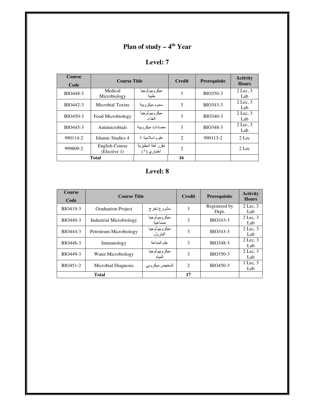## **Plan of study – 4<sup>th</sup> Year**

| <b>Course</b><br>Code | <b>Course Title</b>            |                                  | <b>Credit</b>  | <b>Prerequisite</b> | <b>Activity</b><br><b>Hours</b> |
|-----------------------|--------------------------------|----------------------------------|----------------|---------------------|---------------------------------|
| BIO448-3              | Medical<br>Microbiology        | ميكر وبيولوجيا<br>طببة           | 3              | BIO350-3            | $2$ Lec, $3$<br>Lab             |
| BIO442-3              | Microbial Toxins               | سموم ميكر وبية                   | 3              | BIO343-3            | $2$ Lec, $3$<br>Lab             |
| BIO450-3              | Food Microbiology              | ميكر وبيولوجيا<br>الغذاء         | 3              | BIO340-3            | $2$ Lec, $3$<br>Lab             |
| BIO445-3              | Antimicrobials                 | مضادات مبكر و بية                | 3              | BIO348-3            | $2$ Lec, $3$<br>Lab             |
| 990114-2              | Islamic Studies 4              | علوم اسلامية ٤                   | $\overline{2}$ | 990113-2            | $2$ Lec                         |
| 999809-2              | English Course<br>(Elective 1) | مقرر لغة انجليزية<br>اختياري (١) | $\overline{c}$ |                     | 2 Lec                           |
|                       | <b>Total</b>                   |                                  | 16             |                     |                                 |

| <b>Course</b><br>Code | <b>Course Title</b>       |                          | <b>Credit</b>  | Prerequisite           | <b>Activity</b><br><b>Hours</b> |
|-----------------------|---------------------------|--------------------------|----------------|------------------------|---------------------------------|
| BIO419-3              | <b>Graduation Project</b> | مشروع تخرج               | 3              | Registered by<br>Dept. | $2$ Lec, $3$<br>Lab             |
| BIO440-3              | Industrial Microbiology   | ميكروبيولوجيا<br>صناعية  | 3              | BIO343-3               | 2 Lec. 3<br>Lab                 |
| BIO444-3              | Petroleum Microbiology    | ميكروبيولوجيا<br>البترول | 3              | BIO343-3               | $2$ Lec, $3$<br>Lab             |
| BIO446-3              | Immunology                | علم المناعة              | 3              | BIO348-3               | $2$ Lec, $3$<br>Lab             |
| BIO449-3              | Water Microbiology        | ميكر وبيولوجيا<br>المناه | 3              | BIO350-3               | $2$ Lec, $3$<br>Lab             |
| BIO451-2              | Microbial Diagnosis       | تشخيص ميكروبي            | $\mathfrak{D}$ | BIO450-3               | 1 Lec. 3<br>Lab                 |
| <b>Total</b>          |                           |                          | 17             |                        |                                 |